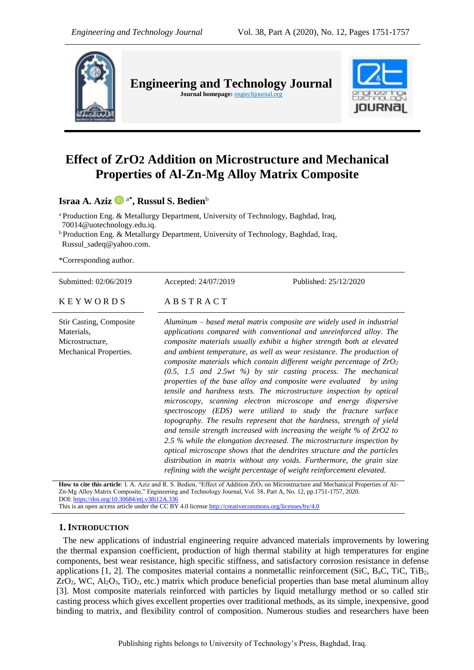

**Engineering and Technology Journal Journal homepage:** engtechjournal.org



# **Effect of ZrO2 Addition on Microstructure and Mechanical Properties of Al-Zn-Mg Alloy Matrix Composite**

**Israa A. Aziz a\* , Russul S. Bedien<sup>b</sup>**

**<sup>a</sup>** Production Eng. & Metallurgy Department, University of Technology, Baghdad, Iraq, [70014@uotechnology.edu.iq.](mailto:70014@uotechnology.edu.iq) **<sup>b</sup>** Production Eng. & Metallurgy Department, University of Technology, Baghdad, Iraq, Russul\_sadeq@yahoo.com.

\*Corresponding author.

| Submitted: 02/06/2019                                                                     | Published: 25/12/2020<br>Accepted: 24/07/2019                                                                                                                                                                                                                                                                                                                                                                                                                                                                                                                                                                                                                                                                                                                                                                                                                                                                                                                                                                                                                                                                                                                                                    |
|-------------------------------------------------------------------------------------------|--------------------------------------------------------------------------------------------------------------------------------------------------------------------------------------------------------------------------------------------------------------------------------------------------------------------------------------------------------------------------------------------------------------------------------------------------------------------------------------------------------------------------------------------------------------------------------------------------------------------------------------------------------------------------------------------------------------------------------------------------------------------------------------------------------------------------------------------------------------------------------------------------------------------------------------------------------------------------------------------------------------------------------------------------------------------------------------------------------------------------------------------------------------------------------------------------|
| <b>KEYWORDS</b>                                                                           | ABSTRACT                                                                                                                                                                                                                                                                                                                                                                                                                                                                                                                                                                                                                                                                                                                                                                                                                                                                                                                                                                                                                                                                                                                                                                                         |
| <b>Stir Casting, Composite</b><br>Materials,<br>Microstructure,<br>Mechanical Properties. | Aluminum – based metal matrix composite are widely used in industrial<br>applications compared with conventional and unreinforced alloy. The<br>composite materials usually exhibit a higher strength both at elevated<br>and ambient temperature, as well as wear resistance. The production of<br>composite materials which contain different weight percentage of $ZrO2$<br>$(0.5, 1.5$ and $2.5wt$ %) by stir casting process. The mechanical<br>properties of the base alloy and composite were evaluated by using<br>tensile and hardness tests. The microstructure inspection by optical<br>microscopy, scanning electron microscope and energy dispersive<br>spectroscopy (EDS) were utilized to study the fracture surface<br>topography. The results represent that the hardness, strength of yield<br>and tensile strength increased with increasing the weight $%$ of ZrO2 to<br>2.5 % while the elongation decreased. The microstructure inspection by<br>optical microscope shows that the dendrites structure and the particles<br>distribution in matrix without any voids. Furthermore, the grain size<br>refining with the weight percentage of weight reinforcement elevated. |
|                                                                                           | How to cita this article: J. A. Aziz and R. S. Bedien "Effect of Addition 7rO, on Microstructure and Mechanical Properties of AL                                                                                                                                                                                                                                                                                                                                                                                                                                                                                                                                                                                                                                                                                                                                                                                                                                                                                                                                                                                                                                                                 |

**How to cite this article**: I. A. Aziz and R. S. Bedien, "Effect of Addition ZrO<sub>2</sub> on Microstructure and Mechanical Properties of Al-Zn-Mg Alloy Matrix Composite," Engineering and Technology Journal, Vol. 38, Part A, No. 12, pp.1751-1757, 2020. DOI: <https://doi.org/10.30684/etj.v38i12A.336>

This is an open access article under the CC BY 4.0 license<http://creativecommons.org/licenses/by/4.0>

## **1. INTRODUCTION**

 The new applications of industrial engineering require advanced materials improvements by lowering the thermal expansion coefficient, production of high thermal stability at high temperatures for engine components, best wear resistance, high specific stiffness, and satisfactory corrosion resistance in defense applications  $[1, 2]$ . The composites material contains a nonmetallic reinforcement (SiC, B<sub>4</sub>C, TiC, TiB<sub>2</sub>,  $ZrO<sub>2</sub>$ , WC, Al<sub>2</sub>O<sub>3</sub>, TiO<sub>2</sub>, etc.) matrix which produce beneficial properties than base metal aluminum alloy [3]. Most composite materials reinforced with particles by liquid metallurgy method or so called stir casting process which gives excellent properties over traditional methods, as its simple, inexpensive, good binding to matrix, and flexibility control of composition. Numerous studies and researchers have been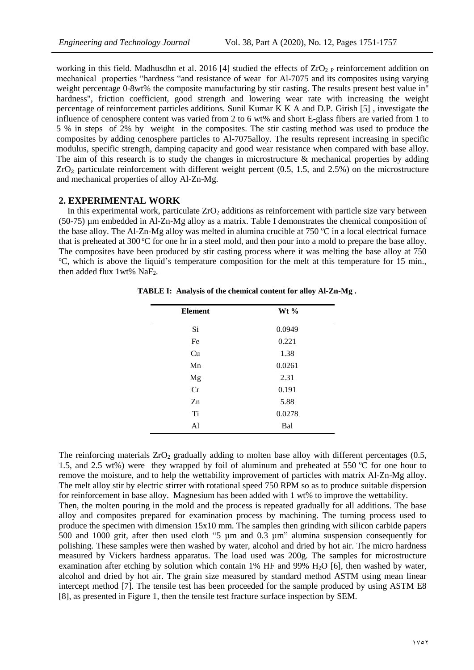working in this field. Madhusdhn et al. 2016 [4] studied the effects of  $ZrO<sub>2</sub>$  P reinforcement addition on mechanical properties "hardness "and resistance of wear for Al-7075 and its composites using varying weight percentage 0-8wt% the composite manufacturing by stir casting. The results present best value in" hardness", friction coefficient, good strength and lowering wear rate with increasing the weight percentage of reinforcement particles additions. Sunil Kumar K K A and D.P. Girish [5] , investigate the influence of cenosphere content was varied from 2 to 6 wt% and short E-glass fibers are varied from 1 to 5 % in steps of 2% by weight in the composites. The stir casting method was used to produce the composites by adding cenosphere particles to Al-7075alloy. The results represent increasing in specific modulus, specific strength, damping capacity and good wear resistance when compared with base alloy. The aim of this research is to study the changes in microstructure & mechanical properties by adding  $ZrO<sub>2</sub>$  particulate reinforcement with different weight percent (0.5, 1.5, and 2.5%) on the microstructure and mechanical properties of alloy Al-Zn-Mg.

#### **2. EXPERIMENTAL WORK**

In this experimental work, particulate ZrO<sub>2</sub> additions as reinforcement with particle size vary between (50-75) µm embedded in Al-Zn-Mg alloy as a matrix. Table I demonstrates the chemical composition of the base alloy. The Al-Zn-Mg alloy was melted in alumina crucible at  $750$  °C in a local electrical furnace that is preheated at 300  $\degree$ C for one hr in a steel mold, and then pour into a mold to prepare the base alloy. The composites have been produced by stir casting process where it was melting the base alloy at 750 <sup>o</sup>C, which is above the liquid's temperature composition for the melt at this temperature for 15 min., then added flux  $1wt\%$  NaF<sub>2</sub>.

| <b>Element</b> | Wt %   |
|----------------|--------|
|                |        |
| Si             | 0.0949 |
| Fe             | 0.221  |
| Cu             | 1.38   |
| Mn             | 0.0261 |
| Mg             | 2.31   |
| Cr             | 0.191  |
| Zn             | 5.88   |
| Ti             | 0.0278 |
| Al             | Bal    |

**TABLE Ӏ: Analysis of the chemical content for alloy Al-Zn-Mg .**

The reinforcing materials  $ZrO<sub>2</sub>$  gradually adding to molten base alloy with different percentages (0.5, 1.5, and 2.5 wt%) were they wrapped by foil of aluminum and preheated at 550  $\degree$ C for one hour to remove the moisture, and to help the wettability improvement of particles with matrix Al-Zn-Mg alloy. The melt alloy stir by electric stirrer with rotational speed 750 RPM so as to produce suitable dispersion for reinforcement in base alloy. Magnesium has been added with 1 wt% to improve the wettability. Then, the molten pouring in the mold and the process is repeated gradually for all additions. The base alloy and composites prepared for examination process by machining. The turning process used to produce the specimen with dimension 15x10 mm. The samples then grinding with silicon carbide papers 500 and 1000 grit, after then used cloth "5 µm and 0.3 µm" alumina suspension consequently for polishing. These samples were then washed by water, alcohol and dried by hot air. The micro hardness measured by Vickers hardness apparatus. The load used was 200g. The samples for microstructure examination after etching by solution which contain 1% HF and 99% H<sub>2</sub>O [6], then washed by water, alcohol and dried by hot air. The grain size measured by standard method ASTM using mean linear intercept method [7]. The tensile test has been proceeded for the sample produced by using ASTM E8 [8], as presented in Figure 1, then the tensile test fracture surface inspection by SEM.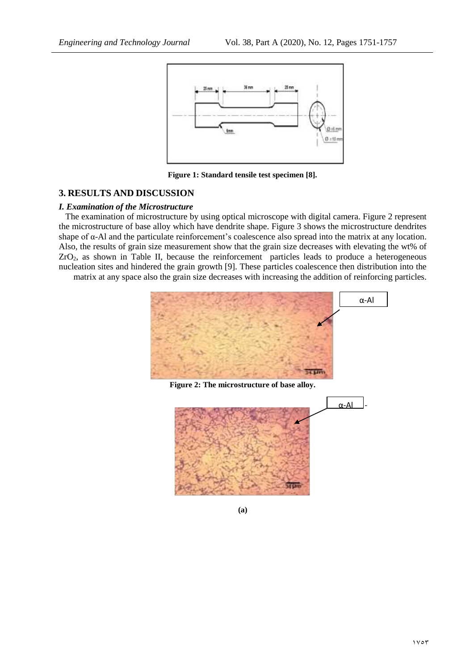

**Figure 1: Standard tensile test specimen [8].**

## **3. RESULTS AND DISCUSSION**

#### *I. Examination of the Microstructure*

 The examination of microstructure by using optical microscope with digital camera. Figure 2 represent the microstructure of base alloy which have dendrite shape. Figure 3 shows the microstructure dendrites shape of  $\alpha$ -Al and the particulate reinforcement's coalescence also spread into the matrix at any location. Also, the results of grain size measurement show that the grain size decreases with elevating the wt% of  $ZrO<sub>2</sub>$ , as shown in Table II, because the reinforcement particles leads to produce a heterogeneous nucleation sites and hindered the grain growth [9]. These particles coalescence then distribution into the

matrix at any space also the grain size decreases with increasing the addition of reinforcing particles.



**Figure 2: The microstructure of base alloy.**



**(a)**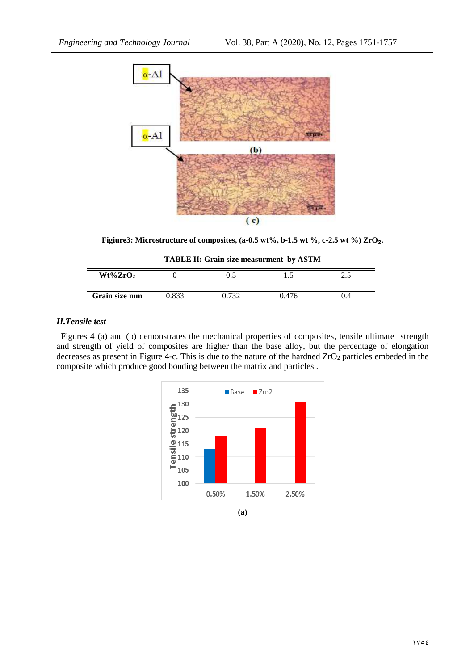

**Figiure3: Microstructure of composites, (a-0.5 wt%, b-1.5 wt %, c-2.5 wt %) ZrO**₂**.**

**TABLE II: Grain size measurment by ASTM**

| $Wt\%ZrO2$    |       | 0.5   | ن د   | ر…  |  |
|---------------|-------|-------|-------|-----|--|
| Grain size mm | 0.833 | ).732 | 0.476 | U.4 |  |

#### *II.Tensile test*

 Figures 4 (a) and (b) demonstrates the mechanical properties of composites, tensile ultimate strength and strength of yield of composites are higher than the base alloy, but the percentage of elongation decreases as present in Figure 4-c. This is due to the nature of the hardned  $ZrO<sub>2</sub>$  particles embeded in the composite which produce good bonding between the matrix and particles .



**(a)**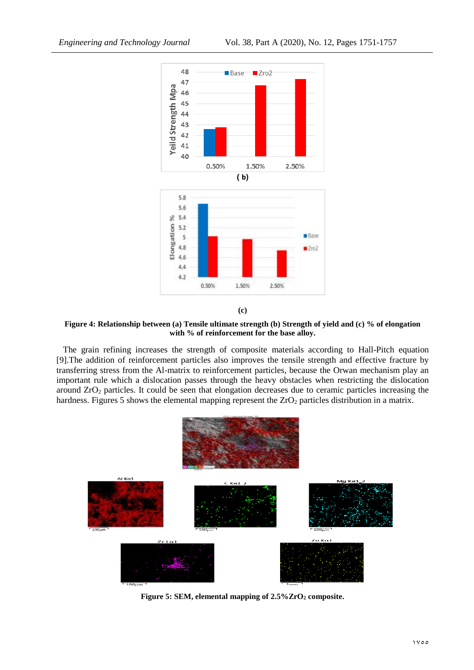



**Figure 4: Relationship between (a) Tensile ultimate strength (b) Strength of yield and (c) % of elongation with % of reinforcement for the base alloy.**

 The grain refining increases the strength of composite materials according to Hall-Pitch equation [9].The addition of reinforcement particles also improves the tensile strength and effective fracture by transferring stress from the Al-matrix to reinforcement particles, because the Orwan mechanism play an important rule which a dislocation passes through the heavy obstacles when restricting the dislocation around ZrO<sup>2</sup> particles. It could be seen that elongation decreases due to ceramic particles increasing the hardness. Figures 5 shows the elemental mapping represent the  $ZrO<sub>2</sub>$  particles distribution in a matrix.



**Figure 5: SEM, elemental mapping of 2.5%ZrO<sup>2</sup> composite.**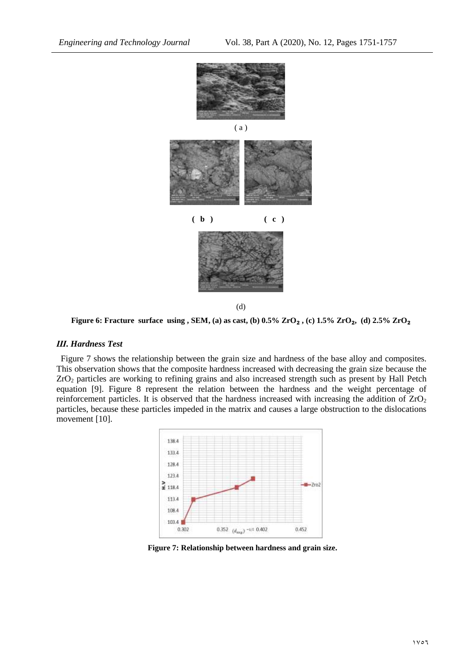

**Figure 6: Fracture surface using , SEM, (a) as cast, (b) 0.5% ZrO**₂ **, (c) 1.5% ZrO**₂**, (d) 2.5% ZrO**₂

#### *Ш. Hardness Test*

 Figure 7 shows the relationship between the grain size and hardness of the base alloy and composites. This observation shows that the composite hardness increased with decreasing the grain size because the ZrO<sup>2</sup> particles are working to refining grains and also increased strength such as present by Hall Petch equation [9]. Figure 8 represent the relation between the hardness and the weight percentage of reinforcement particles. It is observed that the hardness increased with increasing the addition of ZrO<sub>2</sub> particles, because these particles impeded in the matrix and causes a large obstruction to the dislocations movement [10].



**Figure 7: Relationship between hardness and grain size.**